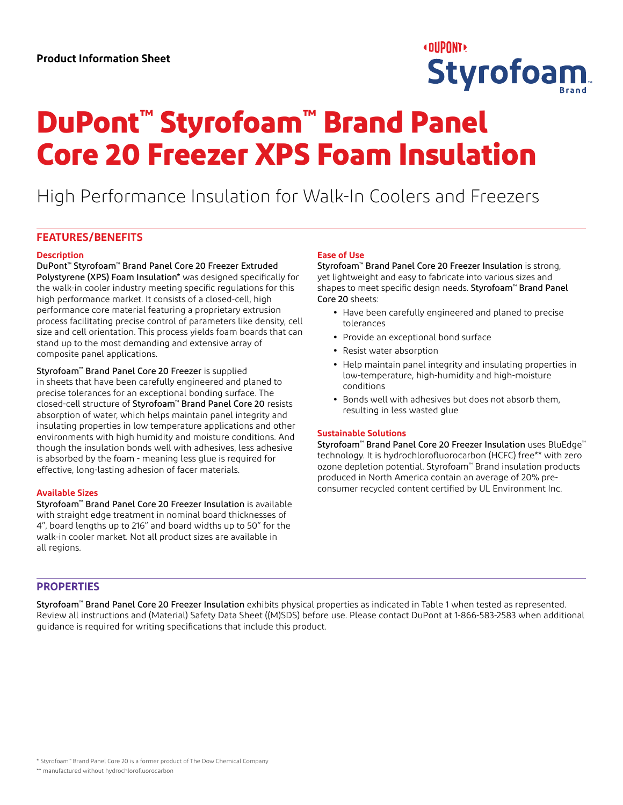

# **DuPont™ Styrofoam™ Brand Panel Core 20 Freezer XPS Foam Insulation**

High Performance Insulation for Walk-In Coolers and Freezers

# **FEATURES/BENEFITS**

#### **Description**

DuPont™ Styrofoam™ Brand Panel Core 20 Freezer Extruded Polystyrene (XPS) Foam Insulation\* was designed specifically for the walk-in cooler industry meeting specific regulations for this high performance market. It consists of a closed-cell, high performance core material featuring a proprietary extrusion process facilitating precise control of parameters like density, cell size and cell orientation. This process yields foam boards that can stand up to the most demanding and extensive array of composite panel applications.

Styrofoam™ Brand Panel Core 20 Freezer is supplied in sheets that have been carefully engineered and planed to precise tolerances for an exceptional bonding surface. The closed-cell structure of Styrofoam™ Brand Panel Core 20 resists absorption of water, which helps maintain panel integrity and insulating properties in low temperature applications and other environments with high humidity and moisture conditions. And though the insulation bonds well with adhesives, less adhesive is absorbed by the foam - meaning less glue is required for effective, long-lasting adhesion of facer materials.

### **Available Sizes**

Styrofoam™ Brand Panel Core 20 Freezer Insulation is available with straight edge treatment in nominal board thicknesses of 4", board lengths up to 216" and board widths up to 50" for the walk-in cooler market. Not all product sizes are available in all regions.

### **Ease of Use**

Styrofoam™ Brand Panel Core 20 Freezer Insulation is strong, yet lightweight and easy to fabricate into various sizes and shapes to meet specific design needs. Styrofoam™ Brand Panel Core 20 sheets:

- **•** Have been carefully engineered and planed to precise tolerances
- **•** Provide an exceptional bond surface
- **•** Resist water absorption
- **•** Help maintain panel integrity and insulating properties in low-temperature, high-humidity and high-moisture conditions
- **•** Bonds well with adhesives but does not absorb them, resulting in less wasted glue

#### **Sustainable Solutions**

Styrofoam™ Brand Panel Core 20 Freezer Insulation uses BluEdge™ technology. It is hydrochlorofluorocarbon (HCFC) free\*\* with zero ozone depletion potential. Styrofoam™ Brand insulation products produced in North America contain an average of 20% preconsumer recycled content certified by UL Environment Inc.

# **PROPERTIES**

Styrofoam™ Brand Panel Core 20 Freezer Insulation exhibits physical properties as indicated in Table 1 when tested as represented. Review all instructions and (Material) Safety Data Sheet ((M)SDS) before use. Please contact DuPont at 1-866-583-2583 when additional guidance is required for writing specifications that include this product.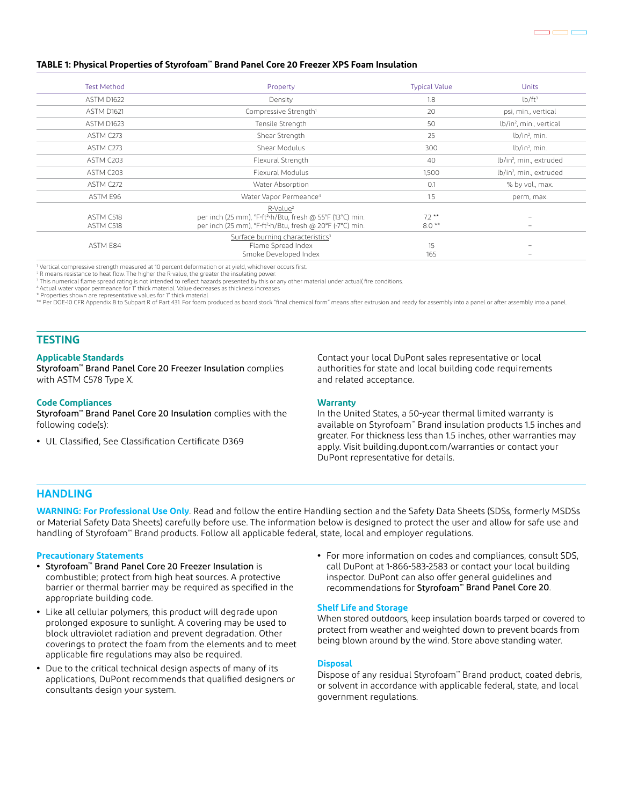#### **TABLE 1: Physical Properties of Styrofoam™ Brand Panel Core 20 Freezer XPS Foam Insulation**

| <b>Test Method</b> | Property                                                              | <b>Typical Value</b> | Units                               |
|--------------------|-----------------------------------------------------------------------|----------------------|-------------------------------------|
| ASTM D1622         | Density                                                               | 1.8                  | $lb/ft^3$                           |
| ASTM D1621         | Compressive Strength <sup>1</sup>                                     | 20                   | psi, min., vertical                 |
| ASTM D1623         | Tensile Strength                                                      | 50                   | lb/in <sup>2</sup> , min., vertical |
| ASTM C273          | Shear Strength                                                        | 25                   | $lb/in2$ , min.                     |
| ASTM C273          | Shear Modulus                                                         | 300                  | $lb/in2$ , min.                     |
| ASTM C203          | Flexural Strength                                                     | 40                   | lb/in <sup>2</sup> , min., extruded |
| ASTM C203          | Flexural Modulus                                                      | 1,500                | lb/in <sup>2</sup> , min., extruded |
| ASTM C272          | Water Absorption                                                      | O.1                  | % by vol., max.                     |
| ASTM E96           | Water Vapor Permeance <sup>4</sup>                                    | 1.5                  | perm, max.                          |
|                    | R-Value <sup>2</sup>                                                  |                      |                                     |
| ASTM C518          | per inch (25 mm), °F·ft <sup>2</sup> ·h/Btu, fresh @ 55°F (13°C) min. | $7.2**$              |                                     |
| ASTM C518          | per inch (25 mm), °F.ft <sup>2</sup> ·h/Btu, fresh @ 20°F (-7°C) min. | $8.0**$              |                                     |
|                    | Surface burning characteristics <sup>3</sup>                          |                      |                                     |
| ASTM E84           | Flame Spread Index                                                    | 15                   |                                     |
|                    | Smoke Developed Index                                                 | 165                  |                                     |

1 Vertical compressive strength measured at 10 percent deformation or at yield, whichever occurs first.

2 R means resistance to heat flow. The higher the R-value, the greater the insulating power.

3 This numerical flame spread rating is not intended to reflect hazards presented by this or any other material under actual( fire conditions.

4 Actual water vapor permeance for 1" thick material. Value decreases as thickness increases

Properties shown are representative values for 1" thick material

\*\* Per DOE-10 CFR Appendix B to Subpart R of Part 431. For foam produced as board stock "final chemical form" means after extrusion and ready for assembly into a panel or after assembly into a panel or after assembly into

# **TESTING**

#### **Applicable Standards**

Styrofoam™ Brand Panel Core 20 Freezer Insulation complies with ASTM C578 Type X.

#### **Code Compliances**

Styrofoam™ Brand Panel Core 20 Insulation complies with the following code(s):

**•** UL Classified, See Classification Certificate D369

Contact your local DuPont sales representative or local authorities for state and local building code requirements and related acceptance.

#### **Warranty**

In the United States, a 50-year thermal limited warranty is available on Styrofoam™ Brand insulation products 1.5 inches and greater. For thickness less than 1.5 inches, other warranties may apply. Visit building.dupont.com/warranties or contact your DuPont representative for details.

## **HANDLING**

**WARNING: For Professional Use Only**. Read and follow the entire Handling section and the Safety Data Sheets (SDSs, formerly MSDSs or Material Safety Data Sheets) carefully before use. The information below is designed to protect the user and allow for safe use and handling of Styrofoam™ Brand products. Follow all applicable federal, state, local and employer regulations.

#### **Precautionary Statements**

- **•** Styrofoam™ Brand Panel Core 20 Freezer Insulation is combustible; protect from high heat sources. A protective barrier or thermal barrier may be required as specified in the appropriate building code.
- **•** Like all cellular polymers, this product will degrade upon prolonged exposure to sunlight. A covering may be used to block ultraviolet radiation and prevent degradation. Other coverings to protect the foam from the elements and to meet applicable fire regulations may also be required.
- **•** Due to the critical technical design aspects of many of its applications, DuPont recommends that qualified designers or consultants design your system.
- **•** For more information on codes and compliances, consult SDS, call DuPont at 1-866-583-2583 or contact your local building inspector. DuPont can also offer general guidelines and recommendations for Styrofoam™ Brand Panel Core 20.

#### **Shelf Life and Storage**

When stored outdoors, keep insulation boards tarped or covered to protect from weather and weighted down to prevent boards from being blown around by the wind. Store above standing water.

#### **Disposal**

Dispose of any residual Styrofoam™ Brand product, coated debris, or solvent in accordance with applicable federal, state, and local government regulations.